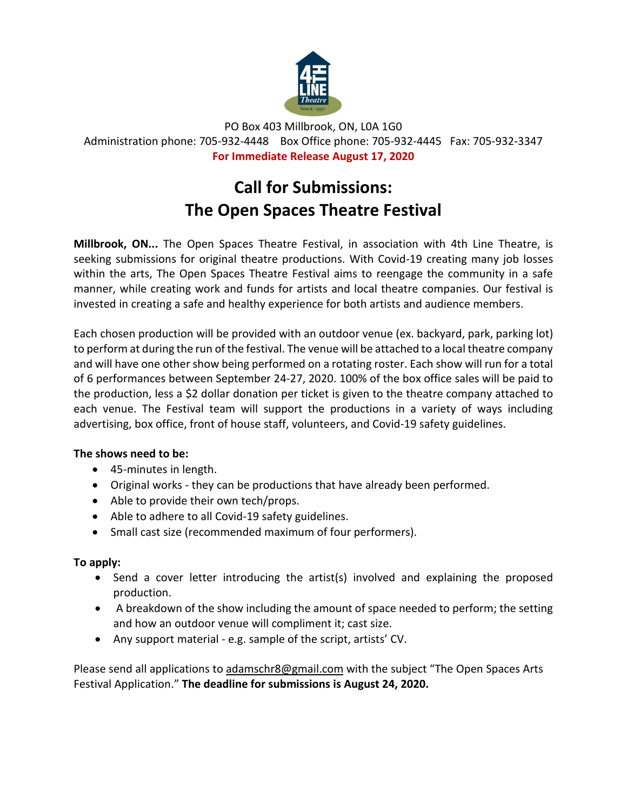

PO Box 403 Millbrook, ON, L0A 1G0 Administration phone: 705-932-4448 Box Office phone: 705-932-4445 Fax: 705-932-3347 **For Immediate Release August 17, 2020**

## **Call for Submissions: The Open Spaces Theatre Festival**

**Millbrook, ON...** The Open Spaces Theatre Festival, in association with 4th Line Theatre, is seeking submissions for original theatre productions. With Covid-19 creating many job losses within the arts, The Open Spaces Theatre Festival aims to reengage the community in a safe manner, while creating work and funds for artists and local theatre companies. Our festival is invested in creating a safe and healthy experience for both artists and audience members.

Each chosen production will be provided with an outdoor venue (ex. backyard, park, parking lot) to perform at during the run of the festival. The venue will be attached to a local theatre company and will have one other show being performed on a rotating roster. Each show will run for a total of 6 performances between September 24-27, 2020. 100% of the box office sales will be paid to the production, less a \$2 dollar donation per ticket is given to the theatre company attached to each venue. The Festival team will support the productions in a variety of ways including advertising, box office, front of house staff, volunteers, and Covid-19 safety guidelines.

## **The shows need to be:**

- 45-minutes in length.
- Original works they can be productions that have already been performed.
- Able to provide their own tech/props.
- Able to adhere to all Covid-19 safety guidelines.
- Small cast size (recommended maximum of four performers).

## **To apply:**

- Send a cover letter introducing the artist(s) involved and explaining the proposed production.
- A breakdown of the show including the amount of space needed to perform; the setting and how an outdoor venue will compliment it; cast size.
- Any support material e.g. sample of the script, artists' CV.

Please send all applications to [adamschr8@gmail.com](mailto:adamschr8@gmail.com) with the subject "The Open Spaces Arts Festival Application." **The deadline for submissions is August 24, 2020.**